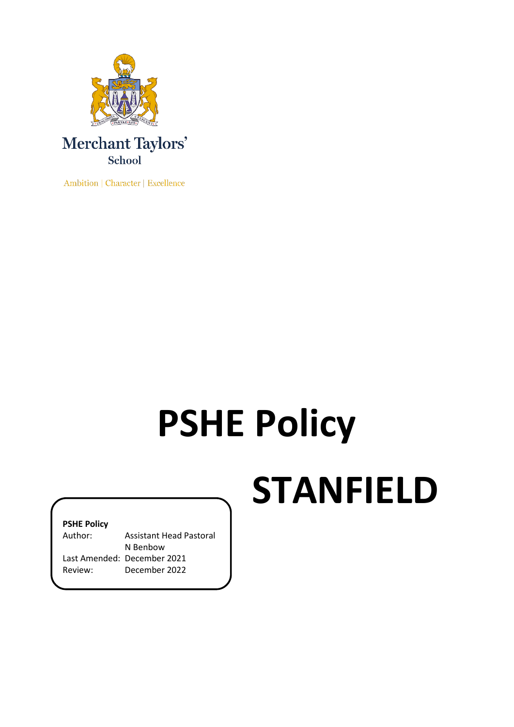

School

Ambition | Character | Excellence

# **PSHE Policy STANFIELD**

## **PSHE Policy**

| Author: | Assistant Head Pastoral     |
|---------|-----------------------------|
|         | N Benbow                    |
|         | Last Amended: December 2021 |
| Review: | December 2022               |
|         |                             |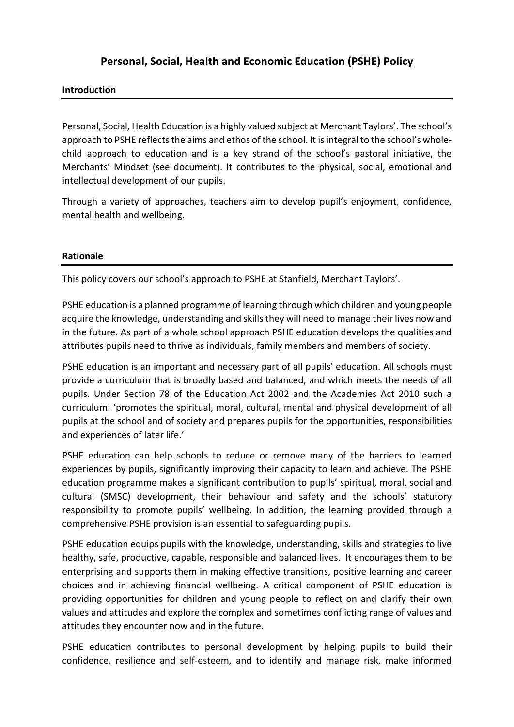## **Personal, Social, Health and Economic Education (PSHE) Policy**

#### **Introduction**

Personal, Social, Health Education is a highly valued subject at Merchant Taylors'. The school's approach to PSHE reflects the aims and ethos of the school. It is integral to the school's wholechild approach to education and is a key strand of the school's pastoral initiative, the Merchants' Mindset (see document). It contributes to the physical, social, emotional and intellectual development of our pupils.

Through a variety of approaches, teachers aim to develop pupil's enjoyment, confidence, mental health and wellbeing.

#### **Rationale**

This policy covers our school's approach to PSHE at Stanfield, Merchant Taylors'.

PSHE education is a planned programme of learning through which children and young people acquire the knowledge, understanding and skills they will need to manage their lives now and in the future. As part of a whole school approach PSHE education develops the qualities and attributes pupils need to thrive as individuals, family members and members of society.

PSHE education is an important and necessary part of all pupils' education. All schools must provide a curriculum that is broadly based and balanced, and which meets the needs of all pupils. Under Section 78 of the Education Act 2002 and the Academies Act 2010 such a curriculum: 'promotes the spiritual, moral, cultural, mental and physical development of all pupils at the school and of society and prepares pupils for the opportunities, responsibilities and experiences of later life.'

PSHE education can help schools to reduce or remove many of the barriers to learned experiences by pupils, significantly improving their capacity to learn and achieve. The PSHE education programme makes a significant contribution to pupils' spiritual, moral, social and cultural (SMSC) development, their behaviour and safety and the schools' statutory responsibility to promote pupils' wellbeing. In addition, the learning provided through a comprehensive PSHE provision is an essential to safeguarding pupils.

PSHE education equips pupils with the knowledge, understanding, skills and strategies to live healthy, safe, productive, capable, responsible and balanced lives. It encourages them to be enterprising and supports them in making effective transitions, positive learning and career choices and in achieving financial wellbeing. A critical component of PSHE education is providing opportunities for children and young people to reflect on and clarify their own values and attitudes and explore the complex and sometimes conflicting range of values and attitudes they encounter now and in the future.

PSHE education contributes to personal development by helping pupils to build their confidence, resilience and self-esteem, and to identify and manage risk, make informed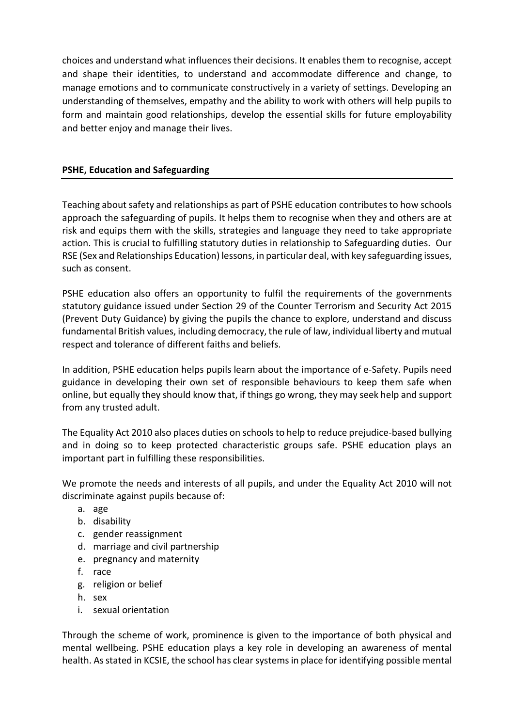choices and understand what influences their decisions. It enables them to recognise, accept and shape their identities, to understand and accommodate difference and change, to manage emotions and to communicate constructively in a variety of settings. Developing an understanding of themselves, empathy and the ability to work with others will help pupils to form and maintain good relationships, develop the essential skills for future employability and better enjoy and manage their lives.

### **PSHE, Education and Safeguarding**

Teaching about safety and relationships as part of PSHE education contributes to how schools approach the safeguarding of pupils. It helps them to recognise when they and others are at risk and equips them with the skills, strategies and language they need to take appropriate action. This is crucial to fulfilling statutory duties in relationship to Safeguarding duties. Our RSE (Sex and Relationships Education) lessons, in particular deal, with key safeguarding issues, such as consent.

PSHE education also offers an opportunity to fulfil the requirements of the governments statutory guidance issued under Section 29 of the Counter Terrorism and Security Act 2015 (Prevent Duty Guidance) by giving the pupils the chance to explore, understand and discuss fundamental British values, including democracy, the rule of law, individual liberty and mutual respect and tolerance of different faiths and beliefs.

In addition, PSHE education helps pupils learn about the importance of e-Safety. Pupils need guidance in developing their own set of responsible behaviours to keep them safe when online, but equally they should know that, if things go wrong, they may seek help and support from any trusted adult.

The Equality Act 2010 also places duties on schools to help to reduce prejudice-based bullying and in doing so to keep protected characteristic groups safe. PSHE education plays an important part in fulfilling these responsibilities.

We promote the needs and interests of all pupils, and under the Equality Act 2010 will not discriminate against pupils because of:

- a. age
- b. disability
- c. gender reassignment
- d. marriage and civil partnership
- e. pregnancy and maternity
- f. race
- g. religion or belief
- h. sex
- i. sexual orientation

Through the scheme of work, prominence is given to the importance of both physical and mental wellbeing. PSHE education plays a key role in developing an awareness of mental health. As stated in KCSIE, the school has clear systems in place for identifying possible mental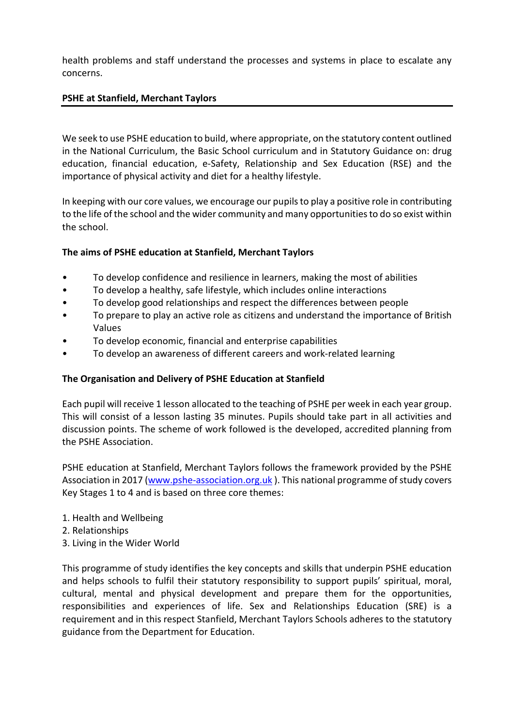health problems and staff understand the processes and systems in place to escalate any concerns.

#### **PSHE at Stanfield, Merchant Taylors**

We seek to use PSHE education to build, where appropriate, on the statutory content outlined in the National Curriculum, the Basic School curriculum and in Statutory Guidance on: drug education, financial education, e-Safety, Relationship and Sex Education (RSE) and the importance of physical activity and diet for a healthy lifestyle.

In keeping with our core values, we encourage our pupils to play a positive role in contributing to the life of the school and the wider community and many opportunities to do so exist within the school.

#### **The aims of PSHE education at Stanfield, Merchant Taylors**

- To develop confidence and resilience in learners, making the most of abilities
- To develop a healthy, safe lifestyle, which includes online interactions
- To develop good relationships and respect the differences between people
- To prepare to play an active role as citizens and understand the importance of British Values
- To develop economic, financial and enterprise capabilities
- To develop an awareness of different careers and work-related learning

#### **The Organisation and Delivery of PSHE Education at Stanfield**

Each pupil will receive 1 lesson allocated to the teaching of PSHE per week in each year group. This will consist of a lesson lasting 35 minutes. Pupils should take part in all activities and discussion points. The scheme of work followed is the developed, accredited planning from the PSHE Association.

PSHE education at Stanfield, Merchant Taylors follows the framework provided by the PSHE Association in 2017 [\(www.pshe-association.org.uk](http://www.pshe-association.org.uk/)). This national programme of study covers Key Stages 1 to 4 and is based on three core themes:

- 1. Health and Wellbeing
- 2. Relationships
- 3. Living in the Wider World

This programme of study identifies the key concepts and skills that underpin PSHE education and helps schools to fulfil their statutory responsibility to support pupils' spiritual, moral, cultural, mental and physical development and prepare them for the opportunities, responsibilities and experiences of life. Sex and Relationships Education (SRE) is a requirement and in this respect Stanfield, Merchant Taylors Schools adheres to the statutory guidance from the Department for Education.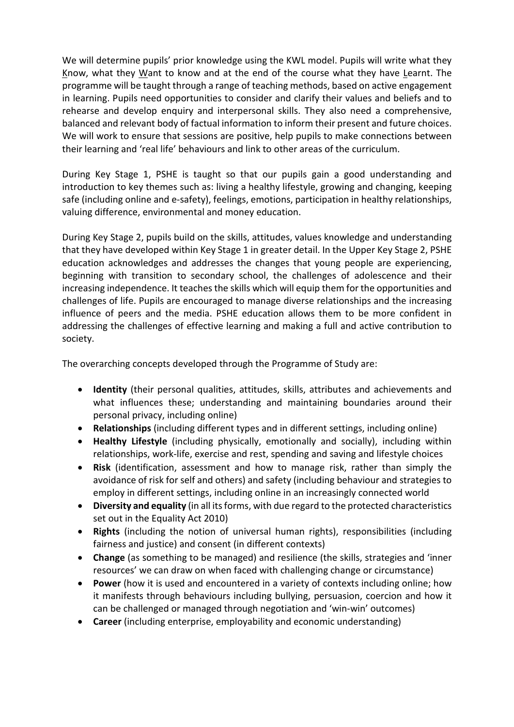We will determine pupils' prior knowledge using the KWL model. Pupils will write what they Know, what they Want to know and at the end of the course what they have Learnt. The programme will be taught through a range of teaching methods, based on active engagement in learning. Pupils need opportunities to consider and clarify their values and beliefs and to rehearse and develop enquiry and interpersonal skills. They also need a comprehensive, balanced and relevant body of factual information to inform their present and future choices. We will work to ensure that sessions are positive, help pupils to make connections between their learning and 'real life' behaviours and link to other areas of the curriculum.

During Key Stage 1, PSHE is taught so that our pupils gain a good understanding and introduction to key themes such as: living a healthy lifestyle, growing and changing, keeping safe (including online and e-safety), feelings, emotions, participation in healthy relationships, valuing difference, environmental and money education.

During Key Stage 2, pupils build on the skills, attitudes, values knowledge and understanding that they have developed within Key Stage 1 in greater detail. In the Upper Key Stage 2, PSHE education acknowledges and addresses the changes that young people are experiencing, beginning with transition to secondary school, the challenges of adolescence and their increasing independence. It teaches the skills which will equip them for the opportunities and challenges of life. Pupils are encouraged to manage diverse relationships and the increasing influence of peers and the media. PSHE education allows them to be more confident in addressing the challenges of effective learning and making a full and active contribution to society.

The overarching concepts developed through the Programme of Study are:

- **Identity** (their personal qualities, attitudes, skills, attributes and achievements and what influences these; understanding and maintaining boundaries around their personal privacy, including online)
- **Relationships** (including different types and in different settings, including online)
- **Healthy Lifestyle** (including physically, emotionally and socially), including within relationships, work-life, exercise and rest, spending and saving and lifestyle choices
- **Risk** (identification, assessment and how to manage risk, rather than simply the avoidance of risk for self and others) and safety (including behaviour and strategies to employ in different settings, including online in an increasingly connected world
- **Diversity and equality** (in all its forms, with due regard to the protected characteristics set out in the Equality Act 2010)
- **Rights** (including the notion of universal human rights), responsibilities (including fairness and justice) and consent (in different contexts)
- **Change** (as something to be managed) and resilience (the skills, strategies and 'inner resources' we can draw on when faced with challenging change or circumstance)
- **Power** (how it is used and encountered in a variety of contexts including online; how it manifests through behaviours including bullying, persuasion, coercion and how it can be challenged or managed through negotiation and 'win-win' outcomes)
- **Career** (including enterprise, employability and economic understanding)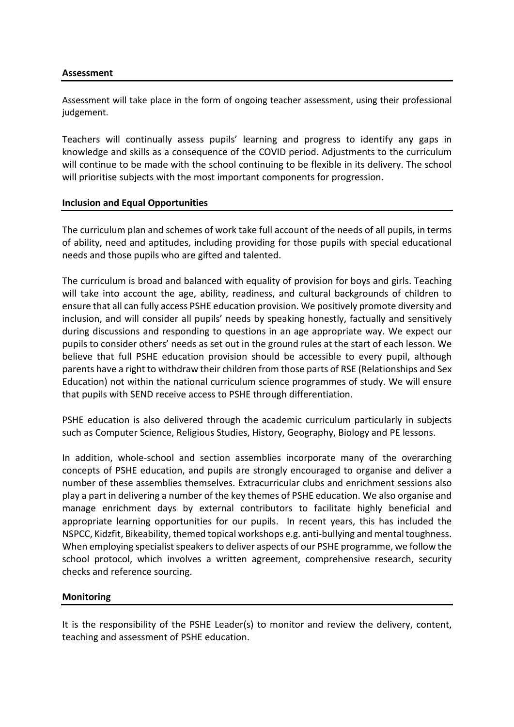#### **Assessment**

Assessment will take place in the form of ongoing teacher assessment, using their professional judgement.

Teachers will continually assess pupils' learning and progress to identify any gaps in knowledge and skills as a consequence of the COVID period. Adjustments to the curriculum will continue to be made with the school continuing to be flexible in its delivery. The school will prioritise subjects with the most important components for progression.

#### **Inclusion and Equal Opportunities**

The curriculum plan and schemes of work take full account of the needs of all pupils, in terms of ability, need and aptitudes, including providing for those pupils with special educational needs and those pupils who are gifted and talented.

The curriculum is broad and balanced with equality of provision for boys and girls. Teaching will take into account the age, ability, readiness, and cultural backgrounds of children to ensure that all can fully access PSHE education provision. We positively promote diversity and inclusion, and will consider all pupils' needs by speaking honestly, factually and sensitively during discussions and responding to questions in an age appropriate way. We expect our pupils to consider others' needs as set out in the ground rules at the start of each lesson. We believe that full PSHE education provision should be accessible to every pupil, although parents have a right to withdraw their children from those parts of RSE (Relationships and Sex Education) not within the national curriculum science programmes of study. We will ensure that pupils with SEND receive access to PSHE through differentiation.

PSHE education is also delivered through the academic curriculum particularly in subjects such as Computer Science, Religious Studies, History, Geography, Biology and PE lessons.

In addition, whole-school and section assemblies incorporate many of the overarching concepts of PSHE education, and pupils are strongly encouraged to organise and deliver a number of these assemblies themselves. Extracurricular clubs and enrichment sessions also play a part in delivering a number of the key themes of PSHE education. We also organise and manage enrichment days by external contributors to facilitate highly beneficial and appropriate learning opportunities for our pupils. In recent years, this has included the NSPCC, Kidzfit, Bikeability, themed topical workshops e.g. anti-bullying and mental toughness. When employing specialist speakers to deliver aspects of our PSHE programme, we follow the school protocol, which involves a written agreement, comprehensive research, security checks and reference sourcing.

#### **Monitoring**

It is the responsibility of the PSHE Leader(s) to monitor and review the delivery, content, teaching and assessment of PSHE education.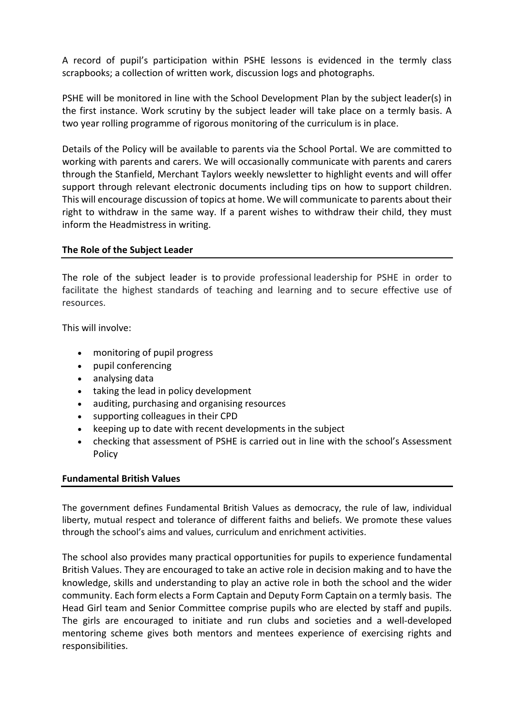A record of pupil's participation within PSHE lessons is evidenced in the termly class scrapbooks; a collection of written work, discussion logs and photographs.

PSHE will be monitored in line with the School Development Plan by the subject leader(s) in the first instance. Work scrutiny by the subject leader will take place on a termly basis. A two year rolling programme of rigorous monitoring of the curriculum is in place.

Details of the Policy will be available to parents via the School Portal. We are committed to working with parents and carers. We will occasionally communicate with parents and carers through the Stanfield, Merchant Taylors weekly newsletter to highlight events and will offer support through relevant electronic documents including tips on how to support children. This will encourage discussion of topics at home. We will communicate to parents about their right to withdraw in the same way. If a parent wishes to withdraw their child, they must inform the Headmistress in writing.

#### **The Role of the Subject Leader**

The role of the subject leader is to provide professional leadership for PSHE in order to facilitate the highest standards of teaching and learning and to secure effective use of resources.

This will involve:

- monitoring of pupil progress
- pupil conferencing
- analysing data
- taking the lead in policy development
- auditing, purchasing and organising resources
- supporting colleagues in their CPD
- keeping up to date with recent developments in the subject
- checking that assessment of PSHE is carried out in line with the school's Assessment Policy

#### **Fundamental British Values**

The government defines Fundamental British Values as democracy, the rule of law, individual liberty, mutual respect and tolerance of different faiths and beliefs. We promote these values through the school's aims and values, curriculum and enrichment activities.

The school also provides many practical opportunities for pupils to experience fundamental British Values. They are encouraged to take an active role in decision making and to have the knowledge, skills and understanding to play an active role in both the school and the wider community. Each form elects a Form Captain and Deputy Form Captain on a termly basis. The Head Girl team and Senior Committee comprise pupils who are elected by staff and pupils. The girls are encouraged to initiate and run clubs and societies and a well-developed mentoring scheme gives both mentors and mentees experience of exercising rights and responsibilities.